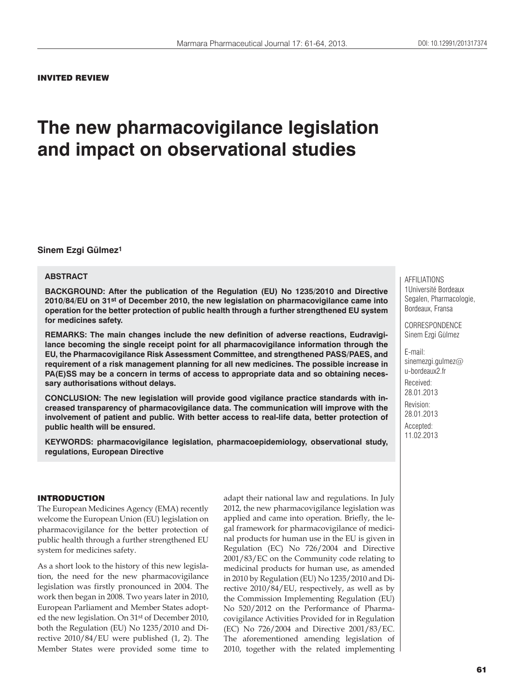#### INVITED REVIEW

# **The new pharmacovigilance legislation and impact on observational studies**

#### **Sinem Ezgi Gülmez1**

## **ABSTRACT**

**BACKGROUND: After the publication of the Regulation (EU) No 1235/2010 and Directive 2010/84/EU on 31st of December 2010, the new legislation on pharmacovigilance came into operation for the better protection of public health through a further strengthened EU system for medicines safety.** 

**REMARKS: The main changes include the new definition of adverse reactions, Eudravigilance becoming the single receipt point for all pharmacovigilance information through the EU, the Pharmacovigilance Risk Assessment Committee, and strengthened PASS/PAES, and requirement of a risk management planning for all new medicines. The possible increase in PA(E)SS may be a concern in terms of access to appropriate data and so obtaining necessary authorisations without delays.** 

**CONCLUSION: The new legislation will provide good vigilance practice standards with increased transparency of pharmacovigilance data. The communication will improve with the involvement of patient and public. With better access to real-life data, better protection of public health will be ensured.**

**KEYWORDS: pharmacovigilance legislation, pharmacoepidemiology, observational study, regulations, European Directive**

## INTRODUCTION

The European Medicines Agency (EMA) recently welcome the European Union (EU) legislation on pharmacovigilance for the better protection of public health through a further strengthened EU system for medicines safety.

As a short look to the history of this new legislation, the need for the new pharmacovigilance legislation was firstly pronounced in 2004. The work then began in 2008. Two years later in 2010, European Parliament and Member States adopted the new legislation. On 31st of December 2010, both the Regulation (EU) No 1235/2010 and Directive 2010/84/EU were published (1, 2). The Member States were provided some time to

adapt their national law and regulations. In July 2012, the new pharmacovigilance legislation was applied and came into operation. Briefly, the legal framework for pharmacovigilance of medicinal products for human use in the EU is given in Regulation (EC) No 726/2004 and Directive 2001/83/EC on the Community code relating to medicinal products for human use, as amended in 2010 by Regulation (EU) No 1235/2010 and Directive 2010/84/EU, respectively, as well as by the Commission Implementing Regulation (EU) No 520/2012 on the Performance of Pharmacovigilance Activities Provided for in Regulation (EC) No 726/2004 and Directive 2001/83/EC. The aforementioned amending legislation of 2010, together with the related implementing AFFILIATIONS 1Université Bordeaux Segalen, Pharmacologie, Bordeaux, Fransa

CORRESPONDENCE Sinem Ezgi Gülmez

E-mail: sinemezgi.gulmez@ u-bordeaux2.fr

Received: 28.01.2013 Revision: 28.01.2013 Accepted:

11.02.2013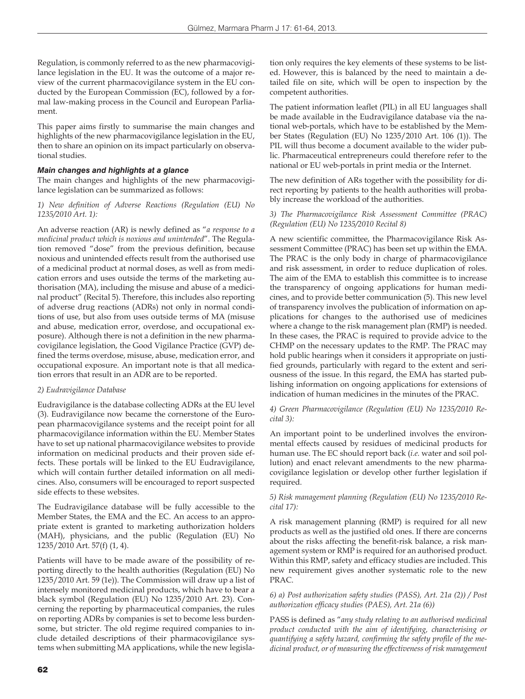Regulation, is commonly referred to as the new pharmacovigilance legislation in the EU. It was the outcome of a major review of the current pharmacovigilance system in the EU conducted by the European Commission (EC), followed by a formal law-making process in the Council and European Parliament.

This paper aims firstly to summarise the main changes and highlights of the new pharmacovigilance legislation in the EU, then to share an opinion on its impact particularly on observational studies.

## *Main changes and highlights at a glance*

The main changes and highlights of the new pharmacovigilance legislation can be summarized as follows:

#### *1) New definition of Adverse Reactions (Regulation (EU) No 1235/2010 Art. 1):*

An adverse reaction (AR) is newly defined as "*a response to a medicinal product which is noxious and unintended*". The Regulation removed "dose" from the previous definition, because noxious and unintended effects result from the authorised use of a medicinal product at normal doses, as well as from medication errors and uses outside the terms of the marketing authorisation (MA), including the misuse and abuse of a medicinal product" (Recital 5). Therefore, this includes also reporting of adverse drug reactions (ADRs) not only in normal conditions of use, but also from uses outside terms of MA (misuse and abuse, medication error, overdose, and occupational exposure). Although there is not a definition in the new pharmacovigilance legislation, the Good Vigilance Practice (GVP) defined the terms overdose, misuse, abuse, medication error, and occupational exposure. An important note is that all medication errors that result in an ADR are to be reported.

## *2) Eudravigilance Database*

Eudravigilance is the database collecting ADRs at the EU level (3). Eudravigilance now became the cornerstone of the European pharmacovigilance systems and the receipt point for all pharmacovigilance information within the EU. Member States have to set up national pharmacovigilance websites to provide information on medicinal products and their proven side effects. These portals will be linked to the EU Eudravigilance, which will contain further detailed information on all medicines. Also, consumers will be encouraged to report suspected side effects to these websites.

The Eudravigilance database will be fully accessible to the Member States, the EMA and the EC. An access to an appropriate extent is granted to marketing authorization holders (MAH), physicians, and the public (Regulation (EU) No 1235/2010 Art. 57(f) (1, 4).

Patients will have to be made aware of the possibility of reporting directly to the health authorities (Regulation (EU) No 1235/2010 Art. 59 (1e)). The Commission will draw up a list of intensely monitored medicinal products, which have to bear a black symbol (Regulation (EU) No 1235/2010 Art. 23). Concerning the reporting by pharmaceutical companies, the rules on reporting ADRs by companies is set to become less burdensome, but stricter. The old regime required companies to include detailed descriptions of their pharmacovigilance systems when submitting MA applications, while the new legisla-

tion only requires the key elements of these systems to be listed. However, this is balanced by the need to maintain a detailed file on site, which will be open to inspection by the competent authorities.

The patient information leaflet (PIL) in all EU languages shall be made available in the Eudravigilance database via the national web-portals, which have to be established by the Member States (Regulation (EU) No 1235/2010 Art. 106 (1)). The PIL will thus become a document available to the wider public. Pharmaceutical entrepreneurs could therefore refer to the national or EU web-portals in print media or the Internet.

The new definition of ARs together with the possibility for direct reporting by patients to the health authorities will probably increase the workload of the authorities.

#### *3) The Pharmacovigilance Risk Assessment Committee (PRAC) (Regulation (EU) No 1235/2010 Recital 8)*

A new scientific committee, the Pharmacovigilance Risk Assessment Committee (PRAC) has been set up within the EMA. The PRAC is the only body in charge of pharmacovigilance and risk assessment, in order to reduce duplication of roles. The aim of the EMA to establish this committee is to increase the transparency of ongoing applications for human medicines, and to provide better communication (5). This new level of transparency involves the publication of information on applications for changes to the authorised use of medicines where a change to the risk management plan (RMP) is needed. In these cases, the PRAC is required to provide advice to the CHMP on the necessary updates to the RMP. The PRAC may hold public hearings when it considers it appropriate on justified grounds, particularly with regard to the extent and seriousness of the issue. In this regard, the EMA has started publishing information on ongoing applications for extensions of indication of human medicines in the minutes of the PRAC.

#### *4) Green Pharmacovigilance (Regulation (EU) No 1235/2010 Recital 3):*

An important point to be underlined involves the environmental effects caused by residues of medicinal products for human use. The EC should report back (*i.e.* water and soil pollution) and enact relevant amendments to the new pharmacovigilance legislation or develop other further legislation if required.

#### *5) Risk management planning (Regulation (EU) No 1235/2010 Recital 17):*

A risk management planning (RMP) is required for all new products as well as the justified old ones. If there are concerns about the risks affecting the benefit-risk balance, a risk management system or RMP is required for an authorised product. Within this RMP, safety and efficacy studies are included. This new requirement gives another systematic role to the new PRAC.

*6) a) Post authorization safety studies (PASS), Art. 21a (2)) / Post authorization efficacy studies (PAES), Art. 21a (6))*

PASS is defined as "*any study relating to an authorised medicinal product conducted with the aim of identifying, characterising or quantifying a safety hazard, confirming the safety profile of the medicinal product, or of measuring the effectiveness of risk management*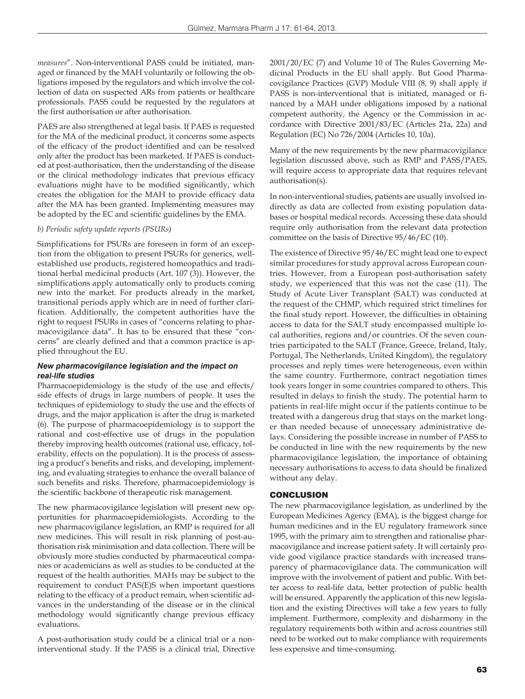*measures*". Non-interventional PASS could be initiated, managed or financed by the MAH voluntarily or following the obligations imposed by the regulators and which involve the collection of data on suspected ARs from patients or healthcare professionals. PASS could be requested by the regulators at the first authorisation or after authorisation.

PAES are also strengthened at legal basis. If PAES is requested for the MA of the medicinal product, it concerns some aspects of the efficacy of the product identified and can be resolved only after the product has been marketed. If PAES is conducted at post-authorisation, then the understanding of the disease or the clinical methodology indicates that previous efficacy evaluations might have to be modified significantly, which creates the obligation for the MAH to provide efficacy data after the MA has been granted. Implementing measures may be adopted by the EC and scientific guidelines by the EMA.

#### *b) Periodic safety update reports (PSURs)*

Simplifications for PSURs are foreseen in form of an exception from the obligation to present PSURs for generics, wellestablished use products, registered homeopathics and traditional herbal medicinal products (Art. 107 (3)). However, the simplifications apply automatically only to products coming new into the market. For products already in the market, transitional periods apply which are in need of further clarification. Additionally, the competent authorities have the right to request PSURs in cases of "concerns relating to pharmacovigilance data". It has to be ensured that these "concerns" are clearly defined and that a common practice is applied throughout the EU.

#### *New pharmacovigilance legislation and the impact on real-life studies*

Pharmacoepidemiology is the study of the use and effects/ side effects of drugs in large numbers of people. It uses the techniques of epidemiology to study the use and the effects of drugs, and the major application is after the drug is marketed (6). The purpose of pharmacoepidemiology is to support the rational and cost-effective use of drugs in the population thereby improving health outcomes (rational use, efficacy, tolerability, effects on the population). It is the process of assessing a product's benefits and risks, and developing, implementing, and evaluating strategies to enhance the overall balance of such benefits and risks. Therefore, pharmacoepidemiology is the scientific backbone of therapeutic risk management.

The new pharmacovigilance legislation will present new opportunities for pharmacoepidemiologists. According to the new pharmacovigilance legislation, an RMP is required for all new medicines. This will result in risk planning of post-authorisation risk minimisation and data collection. There will be obviously more studies conducted by pharmaceutical companies or academicians as well as studies to be conducted at the request of the health authorities. MAHs may be subject to the requirement to conduct PAS(E)S when important questions relating to the efficacy of a product remain, when scientific advances in the understanding of the disease or in the clinical methodology would significantly change previous efficacy evaluations.

A post-authorisation study could be a clinical trial or a noninterventional study. If the PASS is a clinical trial, Directive 2001/20/EC (7) and Volume 10 of The Rules Governing Medicinal Products in the EU shall apply. But Good Pharmacovigilance Practices (GVP) Module VIII (8, 9) shall apply if PASS is non-interventional that is initiated, managed or financed by a MAH under obligations imposed by a national competent authority, the Agency or the Commission in accordance with Directive 2001/83/EC (Articles 21a, 22a) and Regulation (EC) No 726/2004 (Articles 10, 10a).

Many of the new requirements by the new pharmacovigilance legislation discussed above, such as RMP and PASS/PAES, will require access to appropriate data that requires relevant authorisation(s).

In non-interventional studies, patients are usually involved indirectly as data are collected from existing population databases or hospital medical records. Accessing these data should require only authorisation from the relevant data protection committee on the basis of Directive 95/46/EC (10).

The existence of Directive 95/46/EC might lead one to expect similar procedures for study approval across European countries. However, from a European post-authorisation safety study, we experienced that this was not the case (11). The Study of Acute Liver Transplant (SALT) was conducted at the request of the CHMP, which required strict timelines for the final study report. However, the difficulties in obtaining access to data for the SALT study encompassed multiple local authorities, regions and/or countries. Of the seven countries participated to the SALT (France, Greece, Ireland, Italy, Portugal, The Netherlands, United Kingdom), the regulatory processes and reply times were heterogeneous, even within the same country. Furthermore, contract negotiation times took years longer in some countries compared to others. This resulted in delays to finish the study. The potential harm to patients in real-life might occur if the patients continue to be treated with a dangerous drug that stays on the market longer than needed because of unnecessary administrative delays. Considering the possible increase in number of PASS to be conducted in line with the new requirements by the new pharmacovigilance legislation, the importance of obtaining necessary authorisations to access to data should be finalized without any delay.

#### CONCLUSION

The new pharmacovigilance legislation, as underlined by the European Medicines Agency (EMA), is the biggest change for human medicines and in the EU regulatory framework since 1995, with the primary aim to strengthen and rationalise pharmacovigilance and increase patient safety. It will certainly provide good vigilance practice standards with increased transparency of pharmacovigilance data. The communication will improve with the involvement of patient and public. With better access to real-life data, better protection of public health will be ensured. Apparently the application of this new legislation and the existing Directives will take a few years to fully implement. Furthermore, complexity and disharmony in the regulatory requirements both within and across countries still need to be worked out to make compliance with requirements less expensive and time-consuming.